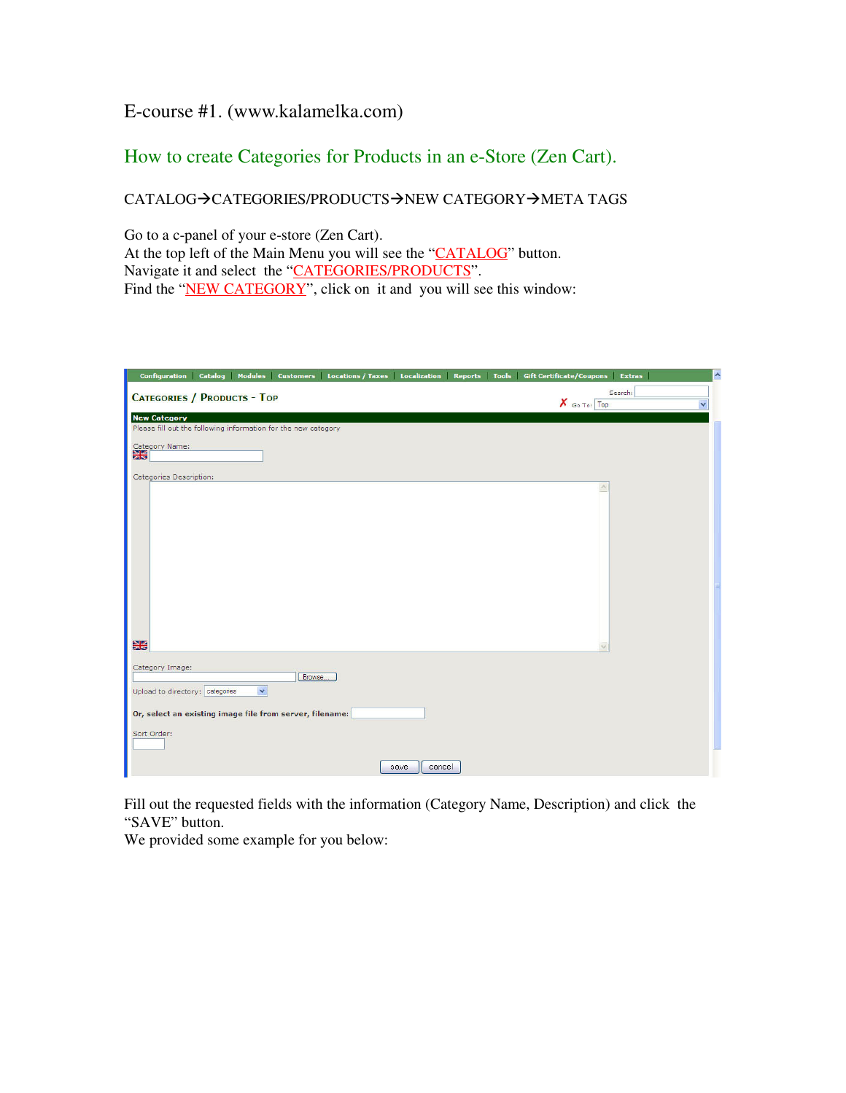## E-course #1. (www.kalamelka.com)

# How to create Categories for Products in an e-Store (Zen Cart).

## CATALOG->CATEGORIES/PRODUCTS->NEW CATEGORY->META TAGS

Go to a c-panel of your e-store (Zen Cart). At the top left of the Main Menu you will see the "CATALOG" button. Navigate it and select the "CATEGORIES/PRODUCTS". Find the "NEW CATEGORY", click on it and you will see this window:

| Catalog Modules Customers Locations / Taxes Localization Reports Tools<br><b>Configuration</b> | <b>Gift Certificate/Coupons</b><br>Extras | $\hat{\phantom{a}}$ |
|------------------------------------------------------------------------------------------------|-------------------------------------------|---------------------|
| <b>CATEGORIES / PRODUCTS - TOP</b>                                                             | Search:<br>$X$ Go To: Top                 | $\checkmark$        |
| <b>New Category</b><br>Please fill out the following information for the new category          |                                           |                     |
| Category Name:                                                                                 |                                           |                     |
| 噐                                                                                              |                                           |                     |
| Categories Description:                                                                        |                                           |                     |
|                                                                                                |                                           |                     |
|                                                                                                |                                           |                     |
|                                                                                                |                                           |                     |
|                                                                                                |                                           |                     |
|                                                                                                |                                           |                     |
|                                                                                                |                                           |                     |
|                                                                                                |                                           |                     |
|                                                                                                |                                           |                     |
| 噐                                                                                              |                                           |                     |
|                                                                                                |                                           |                     |
| Category Image:<br>Browse                                                                      |                                           |                     |
| $\overline{\mathbf{v}}$<br>Upload to directory: categories                                     |                                           |                     |
| Or, select an existing image file from server, filename:                                       |                                           |                     |
| Sort Order:                                                                                    |                                           |                     |
| cancel<br>save                                                                                 |                                           |                     |

Fill out the requested fields with the information (Category Name, Description) and click the "SAVE" button.

We provided some example for you below: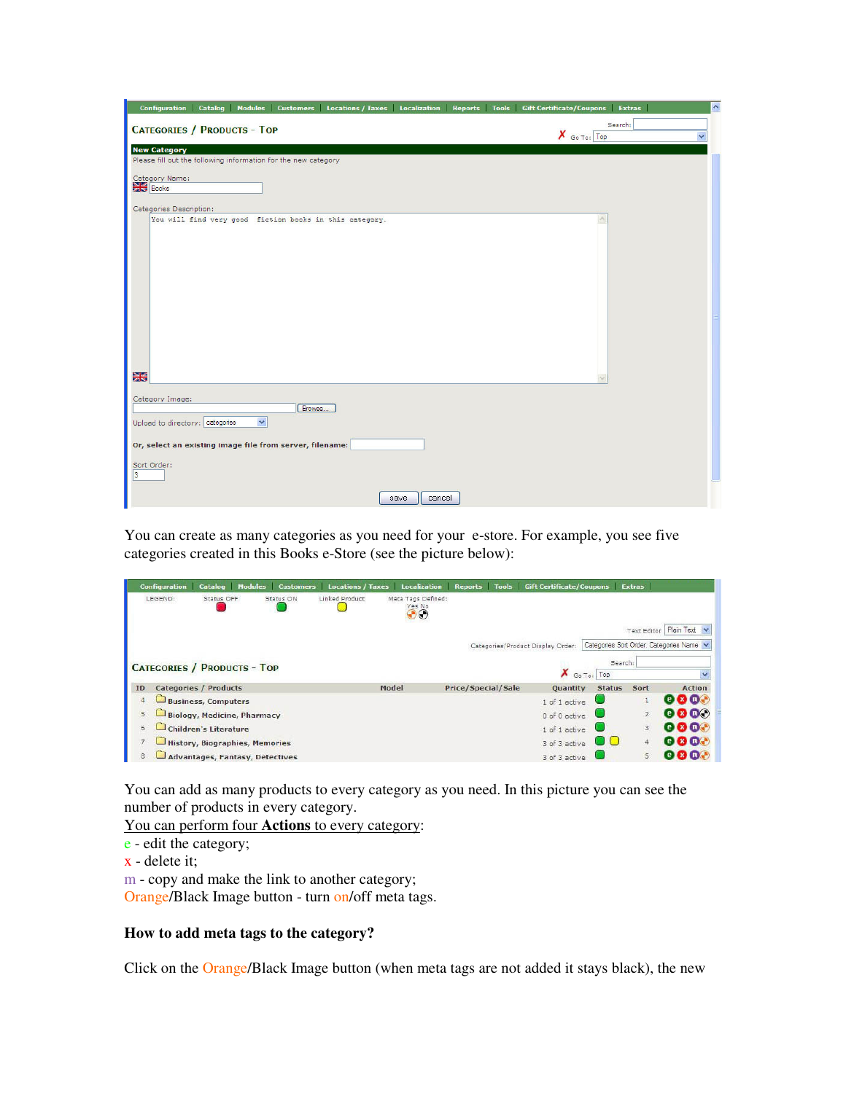|                               |                                                    |                     |                                                                |                                                         |                |  | Configuration Catalog Modules Customers Locations / Taxes Localization Reports Tools Gift Certificate/Coupons Extras |         | $\overline{\phantom{a}}$ |
|-------------------------------|----------------------------------------------------|---------------------|----------------------------------------------------------------|---------------------------------------------------------|----------------|--|----------------------------------------------------------------------------------------------------------------------|---------|--------------------------|
|                               | <b>CATEGORIES / PRODUCTS - TOP</b>                 |                     |                                                                |                                                         |                |  | $X$ Go To: Top                                                                                                       | Search: | $\checkmark$             |
|                               | <b>New Category</b>                                |                     | Please fill out the following information for the new category |                                                         |                |  |                                                                                                                      |         |                          |
| <b>Books</b>                  | Category Name:                                     |                     |                                                                |                                                         |                |  |                                                                                                                      |         |                          |
|                               | Categories Description:                            |                     |                                                                | You will find very good fiction books in this category. |                |  |                                                                                                                      |         |                          |
|                               |                                                    |                     |                                                                |                                                         |                |  |                                                                                                                      |         |                          |
| 器                             |                                                    |                     |                                                                |                                                         |                |  |                                                                                                                      |         |                          |
|                               | Category Image:<br>Upload to directory: categories | $\ddot{\mathbf{v}}$ | Browse                                                         |                                                         |                |  |                                                                                                                      |         |                          |
|                               |                                                    |                     | Or, select an existing image file from server, filename:       |                                                         |                |  |                                                                                                                      |         |                          |
| Sort Order:<br>$\overline{3}$ |                                                    |                     |                                                                |                                                         |                |  |                                                                                                                      |         |                          |
|                               |                                                    |                     |                                                                |                                                         | cancel<br>save |  |                                                                                                                      |         |                          |

You can create as many categories as you need for your e-store. For example, you see five categories created in this Books e-Store (see the picture below):

|    | <b>Configuration</b> | <b>Catalog</b>                         | <b>Modules</b><br><b>Customers</b> | <b>Locations / Taxes</b> | <b>Localization</b>                               | <b>Reports</b>            | <b>Tools</b> Gift Certificate/Coupons |                 | <b>Extras</b>  |                                          |
|----|----------------------|----------------------------------------|------------------------------------|--------------------------|---------------------------------------------------|---------------------------|---------------------------------------|-----------------|----------------|------------------------------------------|
|    | LEGEND:              | Status OFF                             | Status ON                          | Linked Product           | Meta Tags Defined:<br>Yes No<br>$\partial \Theta$ |                           |                                       |                 |                |                                          |
|    |                      |                                        |                                    |                          |                                                   |                           |                                       |                 | Text Editor    | Plain Text v                             |
|    |                      |                                        |                                    |                          |                                                   |                           | Categories/Product Display Order:     |                 |                | Categories Sort Order, Categories Name v |
|    |                      |                                        |                                    |                          |                                                   |                           |                                       | Search          |                |                                          |
|    |                      | <b>CATEGORIES / PRODUCTS - TOP</b>     |                                    |                          |                                                   |                           | х                                     | Go To: Top      |                |                                          |
| ID |                      | <b>Categories / Products</b>           |                                    |                          | <b>Model</b>                                      | <b>Price/Special/Sale</b> | <b>Quantity</b>                       | <b>Status</b>   | Sort           | <b>Action</b>                            |
|    |                      | <b>Business, Computers</b>             |                                    |                          |                                                   |                           | 1 of 1 active                         |                 |                | <b>x</b> In                              |
| 5  |                      | <b>Biology, Medicine, Pharmacy</b>     |                                    |                          |                                                   |                           | 0 of 0 active                         |                 | $\overline{2}$ | $\bullet$ $\bullet$ $\bullet$ $\bullet$  |
| 6  |                      | <b>Children's Literature</b>           |                                    |                          |                                                   |                           | 1 of 1 active                         |                 | 3              | exm                                      |
| 7  |                      | History, Biographies, Memories         |                                    |                          |                                                   |                           | 3 of 3 active                         | $\circ$ $\circ$ | 4              |                                          |
| 8  |                      | <b>Advantages, Fantasy, Detectives</b> |                                    |                          |                                                   |                           | 3 of 3 active                         |                 | 5              |                                          |

You can add as many products to every category as you need. In this picture you can see the number of products in every category.

You can perform four **Actions** to every category:

- e edit the category;
- x delete it;
- m copy and make the link to another category;

Orange/Black Image button - turn on/off meta tags.

### **How to add meta tags to the category?**

Click on the Orange/Black Image button (when meta tags are not added it stays black), the new